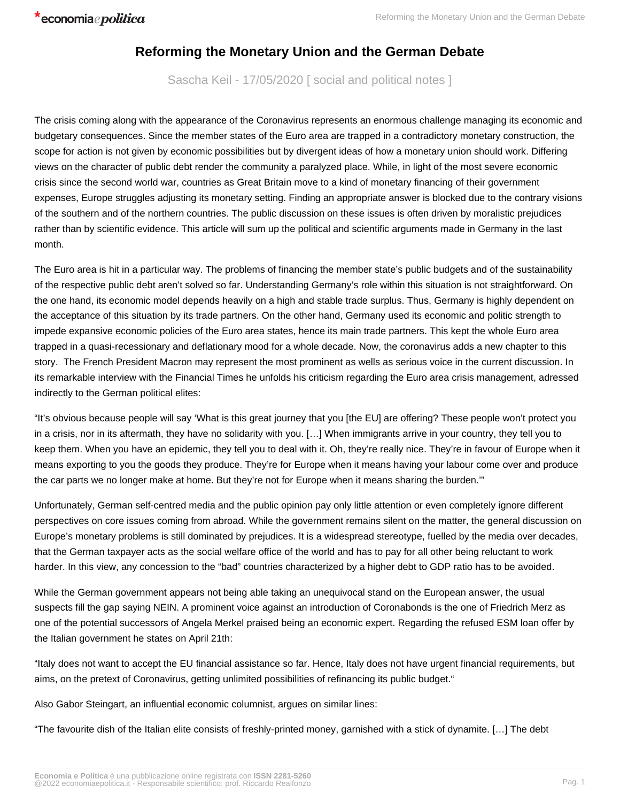## **Reforming the Monetary Union and the German Debate**

Sascha Keil - 17/05/2020 [ social and political notes ]

The crisis coming along with the appearance of the Coronavirus represents an enormous challenge managing its economic and budgetary consequences. Since the member states of the Euro area are trapped in a contradictory monetary construction, the scope for action is not given by economic possibilities but by divergent ideas of how a monetary union should work. Differing views on the character of public debt render the community a paralyzed place. While, in light of the most severe economic crisis since the second world war, countries as Great Britain move to a kind of monetary financing of their government expenses, Europe struggles adjusting its monetary setting. Finding an appropriate answer is blocked due to the contrary visions of the southern and of the northern countries. The public discussion on these issues is often driven by moralistic prejudices rather than by scientific evidence. This article will sum up the political and scientific arguments made in Germany in the last month.

The Euro area is hit in a particular way. The problems of financing the member state's public budgets and of the sustainability of the respective public debt aren't solved so far. Understanding Germany's role within this situation is not straightforward. On the one hand, its economic model depends heavily on a high and stable trade surplus. Thus, Germany is highly dependent on the acceptance of this situation by its trade partners. On the other hand, Germany used its economic and politic strength to impede expansive economic policies of the Euro area states, hence its main trade partners. This kept the whole Euro area trapped in a quasi-recessionary and deflationary mood for a whole decade. Now, the coronavirus adds a new chapter to this story. The French President Macron may represent the most prominent as wells as serious voice in the current discussion. In its remarkable interview with the Financial Times he unfolds his criticism regarding the Euro area crisis management, adressed indirectly to the German political elites:

"It's obvious because people will say 'What is this great journey that you [the EU] are offering? These people won't protect you in a crisis, nor in its aftermath, they have no solidarity with you. […] When immigrants arrive in your country, they tell you to keep them. When you have an epidemic, they tell you to deal with it. Oh, they're really nice. They're in favour of Europe when it means exporting to you the goods they produce. They're for Europe when it means having your labour come over and produce the car parts we no longer make at home. But they're not for Europe when it means sharing the burden.'"

Unfortunately, German self-centred media and the public opinion pay only little attention or even completely ignore different perspectives on core issues coming from abroad. While the government remains silent on the matter, the general discussion on Europe's monetary problems is still dominated by prejudices. It is a widespread stereotype, fuelled by the media over decades, that the German taxpayer acts as the social welfare office of the world and has to pay for all other being reluctant to work harder. In this view, any concession to the "bad" countries characterized by a higher debt to GDP ratio has to be avoided.

While the German government appears not being able taking an unequivocal stand on the European answer, the usual suspects fill the gap saying NEIN. A prominent voice against an introduction of Coronabonds is the one of Friedrich Merz as one of the potential successors of Angela Merkel praised being an economic expert. Regarding the refused ESM loan offer by the Italian government he states on April 21th:

"Italy does not want to accept the EU financial assistance so far. Hence, Italy does not have urgent financial requirements, but aims, on the pretext of Coronavirus, getting unlimited possibilities of refinancing its public budget."

Also Gabor Steingart, an influential economic columnist, argues on similar lines:

"The favourite dish of the Italian elite consists of freshly-printed money, garnished with a stick of dynamite. […] The debt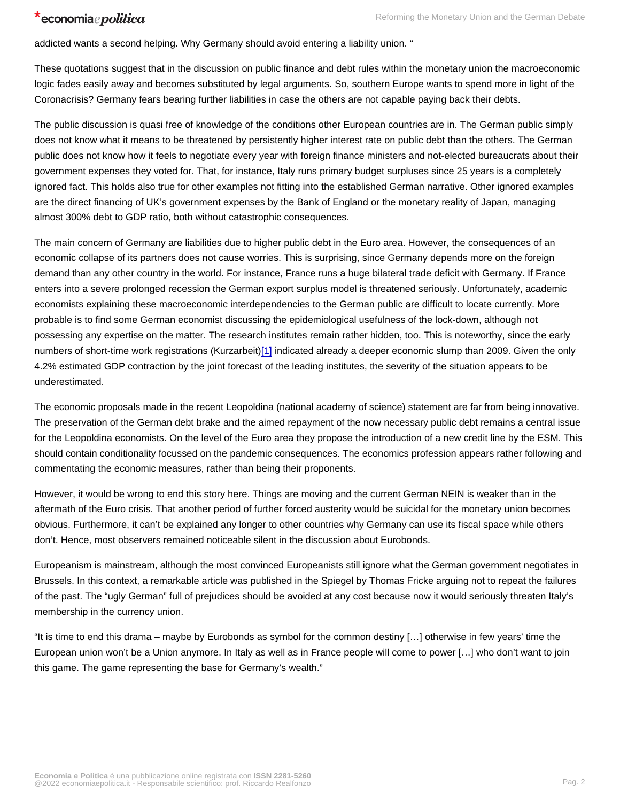addicted wants a second helping. Why Germany should avoid entering a liability union. "

These quotations suggest that in the discussion on public finance and debt rules within the monetary union the macroeconomic logic fades easily away and becomes substituted by legal arguments. So, southern Europe wants to spend more in light of the Coronacrisis? Germany fears bearing further liabilities in case the others are not capable paying back their debts.

The public discussion is quasi free of knowledge of the conditions other European countries are in. The German public simply does not know what it means to be threatened by persistently higher interest rate on public debt than the others. The German public does not know how it feels to negotiate every year with foreign finance ministers and not-elected bureaucrats about their government expenses they voted for. That, for instance, Italy runs primary budget surpluses since 25 years is a completely ignored fact. This holds also true for other examples not fitting into the established German narrative. Other ignored examples are the direct financing of UK's government expenses by the Bank of England or the monetary reality of Japan, managing almost 300% debt to GDP ratio, both without catastrophic consequences.

The main concern of Germany are liabilities due to higher public debt in the Euro area. However, the consequences of an economic collapse of its partners does not cause worries. This is surprising, since Germany depends more on the foreign demand than any other country in the world. For instance, France runs a huge bilateral trade deficit with Germany. If France enters into a severe prolonged recession the German export surplus model is threatened seriously. Unfortunately, academic economists explaining these macroeconomic interdependencies to the German public are difficult to locate currently. More probable is to find some German economist discussing the epidemiological usefulness of the lock-down, although not possessing any expertise on the matter. The research institutes remain rather hidden, too. This is noteworthy, since the early numbers of short-time work registrations (Kurzarbeit)[1] indicated already a deeper economic slump than 2009. Given the only 4.2% estimated GDP contraction by the joint forecast of the leading institutes, the severity of the situation appears to be underestimated.

The economic proposals made in the recent Leopoldina (national academy of science) statement are far from being innovative. The preservation of the German debt brake and the aimed repayment of the now necessary public debt remains a central issue for the Leopoldina economists. On the level of the Euro area they propose the introduction of a new credit line by the ESM. This should contain conditionality focussed on the pandemic consequences. The economics profession appears rather following and commentating the economic measures, rather than being their proponents.

However, it would be wrong to end this story here. Things are moving and the current German NEIN is weaker than in the aftermath of the Euro crisis. That another period of further forced austerity would be suicidal for the monetary union becomes obvious. Furthermore, it can't be explained any longer to other countries why Germany can use its fiscal space while others don't. Hence, most observers remained noticeable silent in the discussion about Eurobonds.

Europeanism is mainstream, although the most convinced Europeanists still ignore what the German government negotiates in Brussels. In this context, a remarkable article was published in the Spiegel by Thomas Fricke arguing not to repeat the failures of the past. The "ugly German" full of prejudices should be avoided at any cost because now it would seriously threaten Italy's membership in the currency union.

"It is time to end this drama – maybe by Eurobonds as symbol for the common destiny […] otherwise in few years' time the European union won't be a Union anymore. In Italy as well as in France people will come to power […] who don't want to join this game. The game representing the base for Germany's wealth."